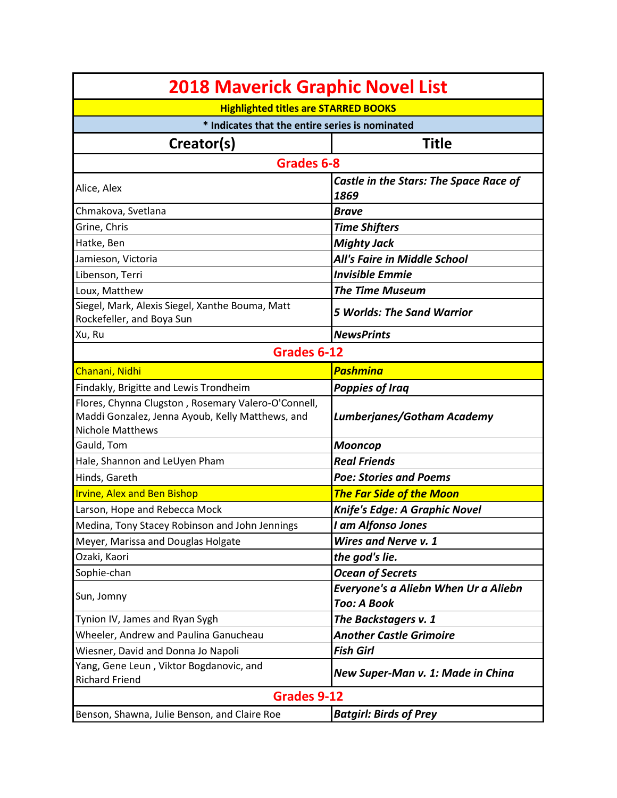| <b>2018 Maverick Graphic Novel List</b>                                                                                            |                                                            |
|------------------------------------------------------------------------------------------------------------------------------------|------------------------------------------------------------|
| <b>Highlighted titles are STARRED BOOKS</b>                                                                                        |                                                            |
| * Indicates that the entire series is nominated                                                                                    |                                                            |
| Creator(s)                                                                                                                         | <b>Title</b>                                               |
| Grades 6-8                                                                                                                         |                                                            |
| Alice, Alex                                                                                                                        | Castle in the Stars: The Space Race of<br>1869             |
| Chmakova, Svetlana                                                                                                                 | <b>Brave</b>                                               |
| Grine, Chris                                                                                                                       | <b>Time Shifters</b>                                       |
| Hatke, Ben                                                                                                                         | <b>Mighty Jack</b>                                         |
| Jamieson, Victoria                                                                                                                 | All's Faire in Middle School                               |
| Libenson, Terri                                                                                                                    | <b>Invisible Emmie</b>                                     |
| Loux, Matthew                                                                                                                      | <b>The Time Museum</b>                                     |
| Siegel, Mark, Alexis Siegel, Xanthe Bouma, Matt<br>Rockefeller, and Boya Sun                                                       | <b>5 Worlds: The Sand Warrior</b>                          |
| Xu, Ru                                                                                                                             | <b>NewsPrints</b>                                          |
| Grades 6-12                                                                                                                        |                                                            |
| Chanani, Nidhi                                                                                                                     | <b>Pashmina</b>                                            |
| Findakly, Brigitte and Lewis Trondheim                                                                                             | <b>Poppies of Iraq</b>                                     |
| Flores, Chynna Clugston, Rosemary Valero-O'Connell,<br>Maddi Gonzalez, Jenna Ayoub, Kelly Matthews, and<br><b>Nichole Matthews</b> | Lumberjanes/Gotham Academy                                 |
| Gauld, Tom                                                                                                                         | <b>Mooncop</b>                                             |
| Hale, Shannon and LeUyen Pham                                                                                                      | <b>Real Friends</b>                                        |
| Hinds, Gareth                                                                                                                      | <b>Poe: Stories and Poems</b>                              |
| <b>Irvine, Alex and Ben Bishop</b>                                                                                                 | <b>The Far Side of the Moon</b>                            |
| Larson, Hope and Rebecca Mock                                                                                                      | Knife's Edge: A Graphic Novel                              |
| Medina, Tony Stacey Robinson and John Jennings                                                                                     | I am Alfonso Jones                                         |
| Meyer, Marissa and Douglas Holgate                                                                                                 | <b>Wires and Nerve v. 1</b>                                |
| Ozaki, Kaori                                                                                                                       | the god's lie.                                             |
| Sophie-chan                                                                                                                        | <b>Ocean of Secrets</b>                                    |
| Sun, Jomny                                                                                                                         | Everyone's a Aliebn When Ur a Aliebn<br><b>Too: A Book</b> |
| Tynion IV, James and Ryan Sygh                                                                                                     | The Backstagers v. 1                                       |
| Wheeler, Andrew and Paulina Ganucheau                                                                                              | <b>Another Castle Grimoire</b>                             |
| Wiesner, David and Donna Jo Napoli                                                                                                 | <b>Fish Girl</b>                                           |
| Yang, Gene Leun, Viktor Bogdanovic, and<br><b>Richard Friend</b>                                                                   | New Super-Man v. 1: Made in China                          |
| <b>Grades 9-12</b>                                                                                                                 |                                                            |
| Benson, Shawna, Julie Benson, and Claire Roe                                                                                       | <b>Batgirl: Birds of Prey</b>                              |